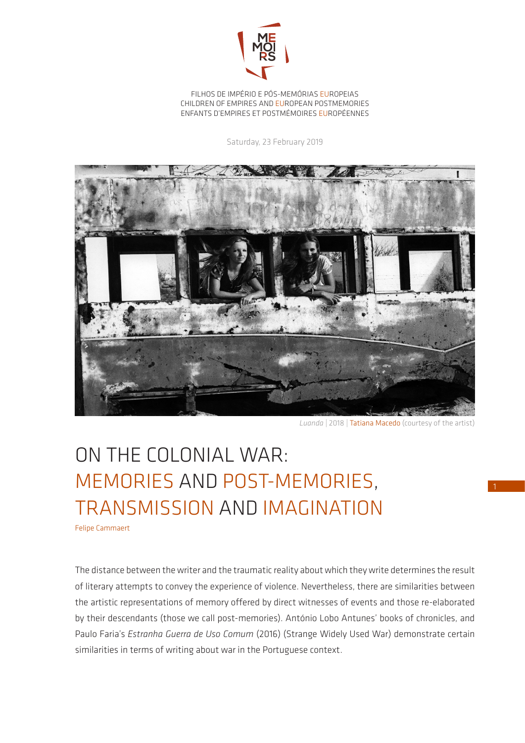

FILHOS DE IMPÉRIO E PÓS-MEMÓRIAS EUROPEIAS CHILDREN OF EMPIRES AND EUROPEAN POSTMEMORIES ENFANTS D'EMPIRES ET POSTMÉMOIRES EUROPÉENNES

Saturday, 23 February 2019



*Luanda* | 2018 | Tatiana Macedo (courtesy of the artist)

## ON THE COLONIAL WAR: MEMORIES AND POST-MEMORIES, TRANSMISSION AND IMAGINATION

Felipe Cammaert

The distance between the writer and the traumatic reality about which they write determines the result of literary attempts to convey the experience of violence. Nevertheless, there are similarities between the artistic representations of memory offered by direct witnesses of events and those re-elaborated by their descendants (those we call post-memories). António Lobo Antunes' books of chronicles, and Paulo Faria's *Estranha Guerra de Uso Comum* (2016) (Strange Widely Used War) demonstrate certain similarities in terms of writing about war in the Portuguese context.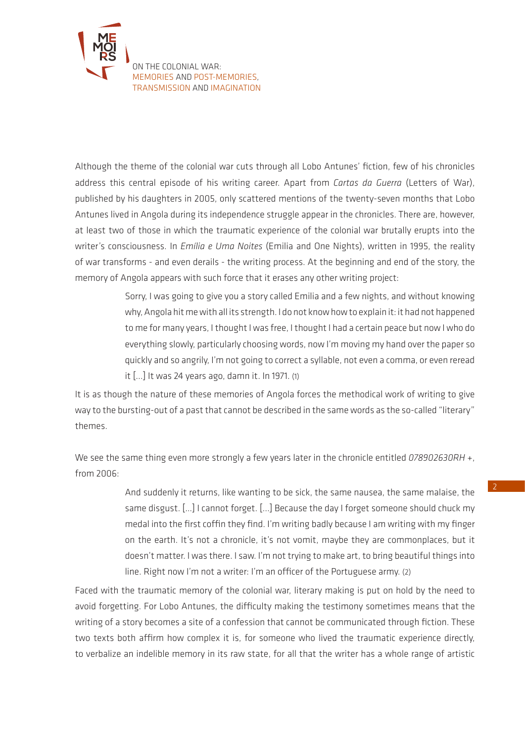

Although the theme of the colonial war cuts through all Lobo Antunes' fiction, few of his chronicles address this central episode of his writing career. Apart from *Cartas da Guerra* (Letters of War), published by his daughters in 2005, only scattered mentions of the twenty-seven months that Lobo Antunes lived in Angola during its independence struggle appear in the chronicles. There are, however, at least two of those in which the traumatic experience of the colonial war brutally erupts into the writer's consciousness. In *Emília e Uma Noites* (Emilia and One Nights), written in 1995, the reality of war transforms - and even derails - the writing process. At the beginning and end of the story, the memory of Angola appears with such force that it erases any other writing project:

> Sorry, I was going to give you a story called Emilia and a few nights, and without knowing why, Angola hit me with all its strength. I do not know how to explain it: it had not happened to me for many years, I thought I was free, I thought I had a certain peace but now I who do everything slowly, particularly choosing words, now I'm moving my hand over the paper so quickly and so angrily, I'm not going to correct a syllable, not even a comma, or even reread it [...] It was 24 years ago, damn it. In 1971. (1)

It is as though the nature of these memories of Angola forces the methodical work of writing to give way to the bursting-out of a past that cannot be described in the same words as the so-called "literary" themes.

We see the same thing even more strongly a few years later in the chronicle entitled *078902630RH +*, from 2006:

> And suddenly it returns, like wanting to be sick, the same nausea, the same malaise, the same disgust. […] I cannot forget. [...] Because the day I forget someone should chuck my medal into the first coffin they find. I'm writing badly because I am writing with my finger on the earth. It's not a chronicle, it's not vomit, maybe they are commonplaces, but it doesn't matter. I was there. I saw. I'm not trying to make art, to bring beautiful things into line. Right now I'm not a writer: I'm an officer of the Portuguese army. (2)

Faced with the traumatic memory of the colonial war, literary making is put on hold by the need to avoid forgetting. For Lobo Antunes, the difficulty making the testimony sometimes means that the writing of a story becomes a site of a confession that cannot be communicated through fiction. These two texts both affirm how complex it is, for someone who lived the traumatic experience directly, to verbalize an indelible memory in its raw state, for all that the writer has a whole range of artistic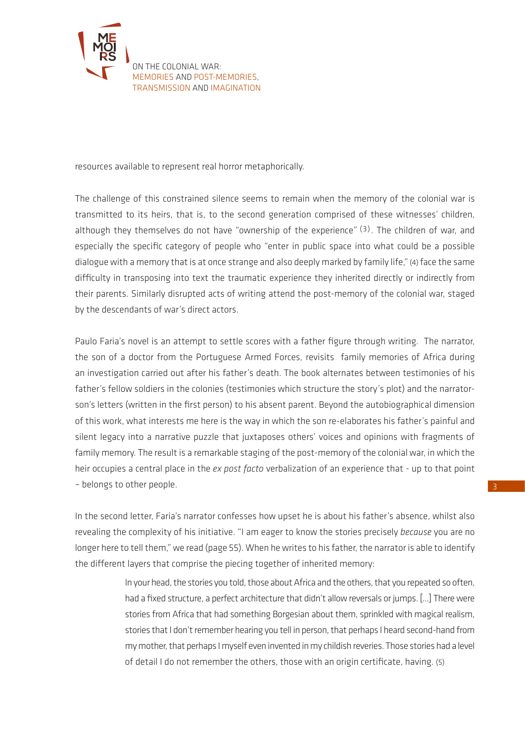

resources available to represent real horror metaphorically.

The challenge of this constrained silence seems to remain when the memory of the colonial war is transmitted to its heirs, that is, to the second generation comprised of these witnesses' children, although they themselves do not have "ownership of the experience"  $(3)$ . The children of war, and especially the specific category of people who "enter in public space into what could be a possible dialogue with a memory that is at once strange and also deeply marked by family life,"(4) face the same difficulty in transposing into text the traumatic experience they inherited directly or indirectly from their parents. Similarly disrupted acts of writing attend the post-memory of the colonial war, staged by the descendants of war's direct actors.

Paulo Faria's novel is an attempt to settle scores with a father figure through writing. The narrator, the son of a doctor from the Portuguese Armed Forces, revisits family memories of Africa during an investigation carried out after his father's death. The book alternates between testimonies of his father's fellow soldiers in the colonies (testimonies which structure the story's plot) and the narratorson's letters (written in the first person) to his absent parent. Beyond the autobiographical dimension of this work, what interests me here is the way in which the son re-elaborates his father's painful and silent legacy into a narrative puzzle that juxtaposes others' voices and opinions with fragments of family memory. The result is a remarkable staging of the post-memory of the colonial war, in which the heir occupies a central place in the *ex post facto* verbalization of an experience that - up to that point – belongs to other people.

In the second letter, Faria's narrator confesses how upset he is about his father's absence, whilst also revealing the complexity of his initiative. "I am eager to know the stories precisely *because* you are no longer here to tell them," we read (page 55). When he writes to his father, the narrator is able to identify the different layers that comprise the piecing together of inherited memory:

> In your head, the stories you told, those about Africa and the others, that you repeated so often, had a fixed structure, a perfect architecture that didn't allow reversals or jumps. [...] There were stories from Africa that had something Borgesian about them, sprinkled with magical realism, stories that I don't remember hearing you tell in person, that perhaps I heard second-hand from my mother, that perhaps I myself even invented in my childish reveries. Those stories had a level of detail I do not remember the others, those with an origin certificate, having. (5)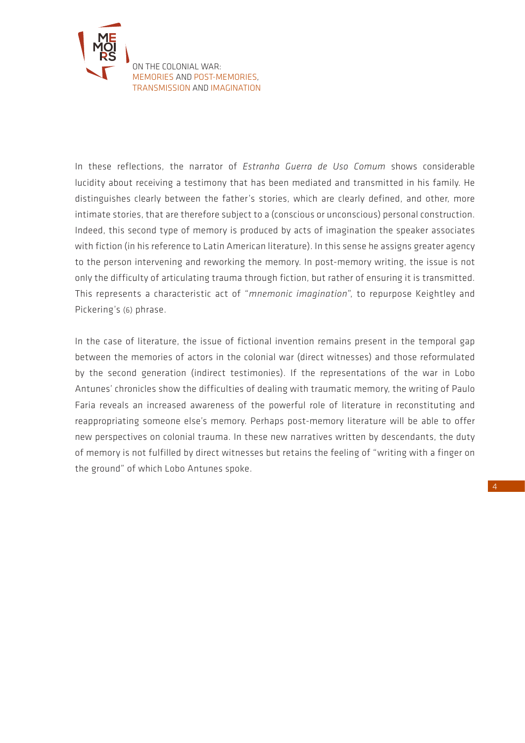

In these reflections, the narrator of *Estranha Guerra de Uso Comum* shows considerable lucidity about receiving a testimony that has been mediated and transmitted in his family. He distinguishes clearly between the father's stories, which are clearly defined, and other, more intimate stories, that are therefore subject to a (conscious or unconscious) personal construction. Indeed, this second type of memory is produced by acts of imagination the speaker associates with fiction (in his reference to Latin American literature). In this sense he assigns greater agency to the person intervening and reworking the memory. In post-memory writing, the issue is not only the difficulty of articulating trauma through fiction, but rather of ensuring it is transmitted. This represents a characteristic act of "*mnemonic imagination*", to repurpose Keightley and Pickering's (6) phrase.

In the case of literature, the issue of fictional invention remains present in the temporal gap between the memories of actors in the colonial war (direct witnesses) and those reformulated by the second generation (indirect testimonies). If the representations of the war in Lobo Antunes' chronicles show the difficulties of dealing with traumatic memory, the writing of Paulo Faria reveals an increased awareness of the powerful role of literature in reconstituting and reappropriating someone else's memory. Perhaps post-memory literature will be able to offer new perspectives on colonial trauma. In these new narratives written by descendants, the duty of memory is not fulfilled by direct witnesses but retains the feeling of "writing with a finger on the ground" of which Lobo Antunes spoke.